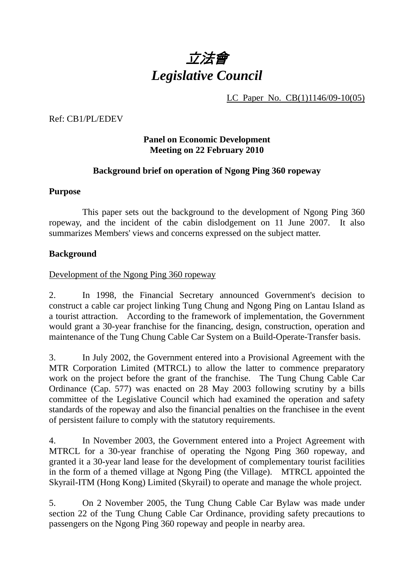

LC Paper No. CB(1)1146/09-10(05)

Ref: CB1/PL/EDEV

### **Panel on Economic Development Meeting on 22 February 2010**

### **Background brief on operation of Ngong Ping 360 ropeway**

#### **Purpose**

This paper sets out the background to the development of Ngong Ping 360 ropeway, and the incident of the cabin dislodgement on 11 June 2007. It also summarizes Members' views and concerns expressed on the subject matter.

#### **Background**

### Development of the Ngong Ping 360 ropeway

2. In 1998, the Financial Secretary announced Government's decision to construct a cable car project linking Tung Chung and Ngong Ping on Lantau Island as a tourist attraction. According to the framework of implementation, the Government would grant a 30-year franchise for the financing, design, construction, operation and maintenance of the Tung Chung Cable Car System on a Build-Operate-Transfer basis.

3. In July 2002, the Government entered into a Provisional Agreement with the MTR Corporation Limited (MTRCL) to allow the latter to commence preparatory work on the project before the grant of the franchise. The Tung Chung Cable Car Ordinance (Cap. 577) was enacted on 28 May 2003 following scrutiny by a bills committee of the Legislative Council which had examined the operation and safety standards of the ropeway and also the financial penalties on the franchisee in the event of persistent failure to comply with the statutory requirements.

4. In November 2003, the Government entered into a Project Agreement with MTRCL for a 30-year franchise of operating the Ngong Ping 360 ropeway, and granted it a 30-year land lease for the development of complementary tourist facilities in the form of a themed village at Ngong Ping (the Village). MTRCL appointed the Skyrail-ITM (Hong Kong) Limited (Skyrail) to operate and manage the whole project.

5. On 2 November 2005, the Tung Chung Cable Car Bylaw was made under section 22 of the Tung Chung Cable Car Ordinance, providing safety precautions to passengers on the Ngong Ping 360 ropeway and people in nearby area.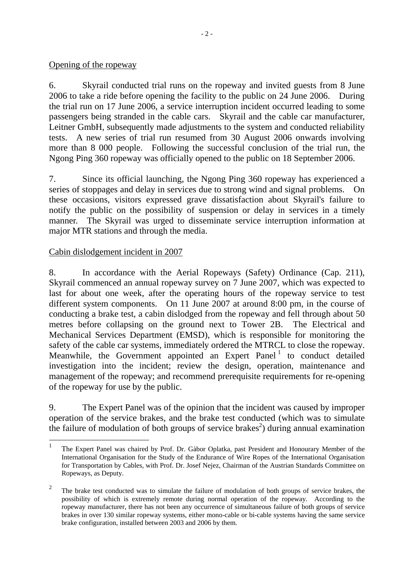### Opening of the ropeway

6. Skyrail conducted trial runs on the ropeway and invited guests from 8 June 2006 to take a ride before opening the facility to the public on 24 June 2006. During the trial run on 17 June 2006, a service interruption incident occurred leading to some passengers being stranded in the cable cars. Skyrail and the cable car manufacturer, Leitner GmbH, subsequently made adjustments to the system and conducted reliability tests. A new series of trial run resumed from 30 August 2006 onwards involving more than 8 000 people. Following the successful conclusion of the trial run, the Ngong Ping 360 ropeway was officially opened to the public on 18 September 2006.

7. Since its official launching, the Ngong Ping 360 ropeway has experienced a series of stoppages and delay in services due to strong wind and signal problems. these occasions, visitors expressed grave dissatisfaction about Skyrail's failure to notify the public on the possibility of suspension or delay in services in a timely manner. The Skyrail was urged to disseminate service interruption information at major MTR stations and through the media.

### Cabin dislodgement incident in 2007

8. In accordance with the Aerial Ropeways (Safety) Ordinance (Cap. 211), Skyrail commenced an annual ropeway survey on 7 June 2007, which was expected to last for about one week, after the operating hours of the ropeway service to test different system components. On 11 June 2007 at around 8:00 pm, in the course of conducting a brake test, a cabin dislodged from the ropeway and fell through about 50 metres before collapsing on the ground next to Tower 2B. The Electrical and Mechanical Services Department (EMSD), which is responsible for monitoring the safety of the cable car systems, immediately ordered the MTRCL to close the ropeway. Meanwhile, the Government appointed an Expert Panel<sup>1</sup> to conduct detailed investigation into the incident; review the design, operation, maintenance and management of the ropeway; and recommend prerequisite requirements for re-opening of the ropeway for use by the public.

9. The Expert Panel was of the opinion that the incident was caused by improper operation of the service brakes, and the brake test conducted (which was to simulate the failure of modulation of both groups of service brakes<sup>2</sup>) during annual examination

 $\frac{1}{1}$  The Expert Panel was chaired by Prof. Dr. Gàbor Oplatka, past President and Honourary Member of the International Organisation for the Study of the Endurance of Wire Ropes of the International Organisation for Transportation by Cables, with Prof. Dr. Josef Nejez, Chairman of the Austrian Standards Committee on Ropeways, as Deputy.

<sup>2</sup> The brake test conducted was to simulate the failure of modulation of both groups of service brakes, the possibility of which is extremely remote during normal operation of the ropeway. According to the ropeway manufacturer, there has not been any occurrence of simultaneous failure of both groups of service brakes in over 130 similar ropeway systems, either mono-cable or bi-cable systems having the same service brake configuration, installed between 2003 and 2006 by them.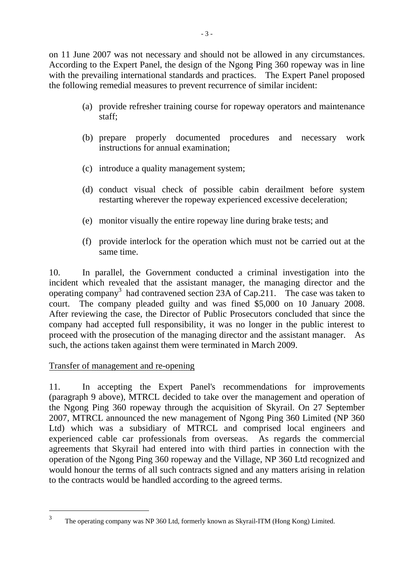on 11 June 2007 was not necessary and should not be allowed in any circumstances. According to the Expert Panel, the design of the Ngong Ping 360 ropeway was in line with the prevailing international standards and practices. The Expert Panel proposed the following remedial measures to prevent recurrence of similar incident:

- (a) provide refresher training course for ropeway operators and maintenance staff;
- (b) prepare properly documented procedures and necessary work instructions for annual examination;
- (c) introduce a quality management system;
- (d) conduct visual check of possible cabin derailment before system restarting wherever the ropeway experienced excessive deceleration;
- (e) monitor visually the entire ropeway line during brake tests; and
- (f) provide interlock for the operation which must not be carried out at the same time.

10. In parallel, the Government conducted a criminal investigation into the incident which revealed that the assistant manager, the managing director and the operating company<sup>3</sup> had contravened section 23A of Cap.211. The case was taken to court. The company pleaded guilty and was fined \$5,000 on 10 January 2008. After reviewing the case, the Director of Public Prosecutors concluded that since the company had accepted full responsibility, it was no longer in the public interest to proceed with the prosecution of the managing director and the assistant manager. As such, the actions taken against them were terminated in March 2009.

### Transfer of management and re-opening

 $\overline{a}$ 

11. In accepting the Expert Panel's recommendations for improvements (paragraph 9 above), MTRCL decided to take over the management and operation of the Ngong Ping 360 ropeway through the acquisition of Skyrail. On 27 September 2007, MTRCL announced the new management of Ngong Ping 360 Limited (NP 360 Ltd) which was a subsidiary of MTRCL and comprised local engineers and experienced cable car professionals from overseas. As regards the commercial agreements that Skyrail had entered into with third parties in connection with the operation of the Ngong Ping 360 ropeway and the Village, NP 360 Ltd recognized and would honour the terms of all such contracts signed and any matters arising in relation to the contracts would be handled according to the agreed terms.

<sup>3</sup> The operating company was NP 360 Ltd, formerly known as Skyrail-ITM (Hong Kong) Limited.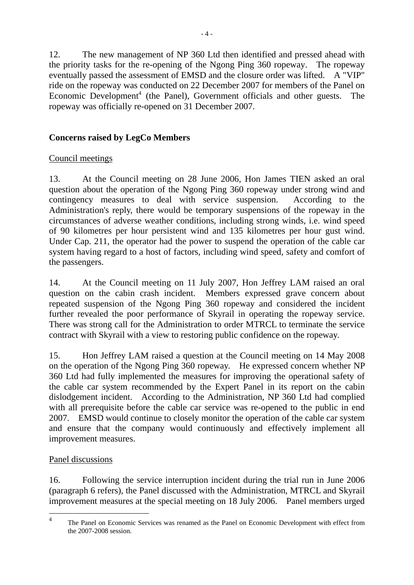12. The new management of NP 360 Ltd then identified and pressed ahead with the priority tasks for the re-opening of the Ngong Ping 360 ropeway. The ropeway eventually passed the assessment of EMSD and the closure order was lifted. A "VIP" ride on the ropeway was conducted on 22 December 2007 for members of the Panel on Economic Development<sup>4</sup> (the Panel), Government officials and other guests. The ropeway was officially re-opened on 31 December 2007.

## **Concerns raised by LegCo Members**

## Council meetings

13. At the Council meeting on 28 June 2006, Hon James TIEN asked an oral question about the operation of the Ngong Ping 360 ropeway under strong wind and contingency measures to deal with service suspension. According to the Administration's reply, there would be temporary suspensions of the ropeway in the circumstances of adverse weather conditions, including strong winds, i.e. wind speed of 90 kilometres per hour persistent wind and 135 kilometres per hour gust wind. Under Cap. 211, the operator had the power to suspend the operation of the cable car system having regard to a host of factors, including wind speed, safety and comfort of the passengers.

14. At the Council meeting on 11 July 2007, Hon Jeffrey LAM raised an oral question on the cabin crash incident. Members expressed grave concern about repeated suspension of the Ngong Ping 360 ropeway and considered the incident further revealed the poor performance of Skyrail in operating the ropeway service. There was strong call for the Administration to order MTRCL to terminate the service contract with Skyrail with a view to restoring public confidence on the ropeway.

15. Hon Jeffrey LAM raised a question at the Council meeting on 14 May 2008 on the operation of the Ngong Ping 360 ropeway. He expressed concern whether NP 360 Ltd had fully implemented the measures for improving the operational safety of the cable car system recommended by the Expert Panel in its report on the cabin dislodgement incident. According to the Administration, NP 360 Ltd had complied with all prerequisite before the cable car service was re-opened to the public in end 2007. EMSD would continue to closely monitor the operation of the cable car system and ensure that the company would continuously and effectively implement all improvement measures.

## Panel discussions

16. Following the service interruption incident during the trial run in June 2006 (paragraph 6 refers), the Panel discussed with the Administration, MTRCL and Skyrail improvement measures at the special meeting on 18 July 2006. Panel members urged

 $\overline{4}$ <sup>4</sup> The Panel on Economic Services was renamed as the Panel on Economic Development with effect from the 2007-2008 session.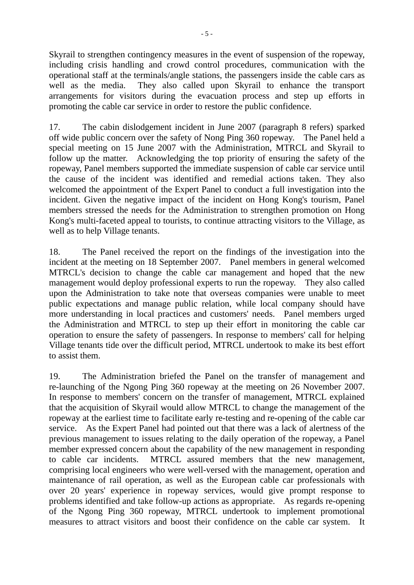Skyrail to strengthen contingency measures in the event of suspension of the ropeway, including crisis handling and crowd control procedures, communication with the operational staff at the terminals/angle stations, the passengers inside the cable cars as well as the media. They also called upon Skyrail to enhance the transport arrangements for visitors during the evacuation process and step up efforts in promoting the cable car service in order to restore the public confidence.

17. The cabin dislodgement incident in June 2007 (paragraph 8 refers) sparked off wide public concern over the safety of Nong Ping 360 ropeway. The Panel held a special meeting on 15 June 2007 with the Administration, MTRCL and Skyrail to follow up the matter. Acknowledging the top priority of ensuring the safety of the ropeway, Panel members supported the immediate suspension of cable car service until the cause of the incident was identified and remedial actions taken. They also welcomed the appointment of the Expert Panel to conduct a full investigation into the incident. Given the negative impact of the incident on Hong Kong's tourism, Panel members stressed the needs for the Administration to strengthen promotion on Hong Kong's multi-faceted appeal to tourists, to continue attracting visitors to the Village, as well as to help Village tenants.

18. The Panel received the report on the findings of the investigation into the incident at the meeting on 18 September 2007. Panel members in general welcomed MTRCL's decision to change the cable car management and hoped that the new management would deploy professional experts to run the ropeway. They also called upon the Administration to take note that overseas companies were unable to meet public expectations and manage public relation, while local company should have more understanding in local practices and customers' needs. Panel members urged the Administration and MTRCL to step up their effort in monitoring the cable car operation to ensure the safety of passengers. In response to members' call for helping Village tenants tide over the difficult period, MTRCL undertook to make its best effort to assist them.

19. The Administration briefed the Panel on the transfer of management and re-launching of the Ngong Ping 360 ropeway at the meeting on 26 November 2007. In response to members' concern on the transfer of management, MTRCL explained that the acquisition of Skyrail would allow MTRCL to change the management of the ropeway at the earliest time to facilitate early re-testing and re-opening of the cable car service. As the Expert Panel had pointed out that there was a lack of alertness of the previous management to issues relating to the daily operation of the ropeway, a Panel member expressed concern about the capability of the new management in responding to cable car incidents. MTRCL assured members that the new management, comprising local engineers who were well-versed with the management, operation and maintenance of rail operation, as well as the European cable car professionals with over 20 years' experience in ropeway services, would give prompt response to problems identified and take follow-up actions as appropriate. As regards re-opening of the Ngong Ping 360 ropeway, MTRCL undertook to implement promotional measures to attract visitors and boost their confidence on the cable car system. It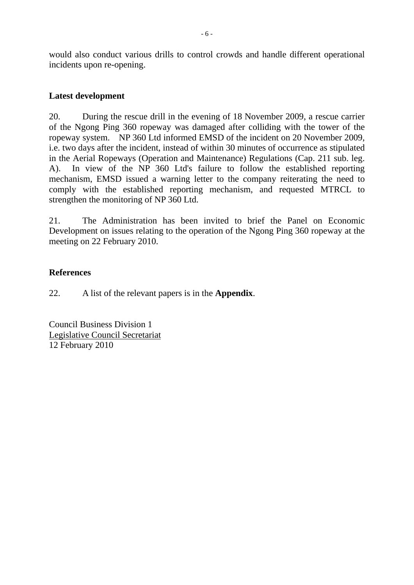would also conduct various drills to control crowds and handle different operational incidents upon re-opening.

### **Latest development**

20. During the rescue drill in the evening of 18 November 2009, a rescue carrier of the Ngong Ping 360 ropeway was damaged after colliding with the tower of the ropeway system. NP 360 Ltd informed EMSD of the incident on 20 November 2009, i.e. two days after the incident, instead of within 30 minutes of occurrence as stipulated in the Aerial Ropeways (Operation and Maintenance) Regulations (Cap. 211 sub. leg. A). In view of the NP 360 Ltd's failure to follow the established reporting mechanism, EMSD issued a warning letter to the company reiterating the need to comply with the established reporting mechanism, and requested MTRCL to strengthen the monitoring of NP 360 Ltd.

21. The Administration has been invited to brief the Panel on Economic Development on issues relating to the operation of the Ngong Ping 360 ropeway at the meeting on 22 February 2010.

### **References**

22. A list of the relevant papers is in the **Appendix**.

Council Business Division 1 Legislative Council Secretariat 12 February 2010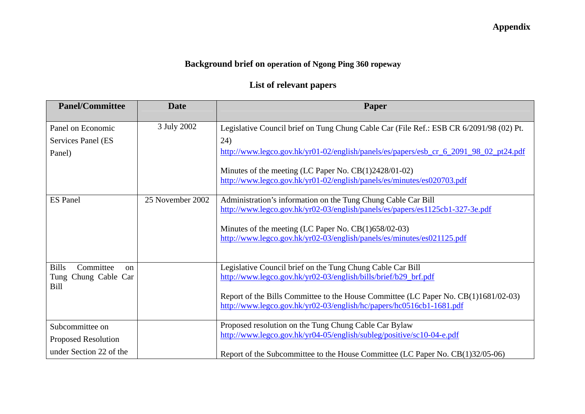# **Appendix**

# **Background brief on operation of Ngong Ping 360 ropeway**

# **List of relevant papers**

| <b>Panel/Committee</b>                | <b>Date</b>      | Paper                                                                                   |
|---------------------------------------|------------------|-----------------------------------------------------------------------------------------|
| Panel on Economic                     | 3 July 2002      | Legislative Council brief on Tung Chung Cable Car (File Ref.: ESB CR 6/2091/98 (02) Pt. |
| Services Panel (ES                    |                  | 24)                                                                                     |
| Panel)                                |                  | http://www.legco.gov.hk/yr01-02/english/panels/es/papers/esb_cr_6_2091_98_02_pt24.pdf   |
|                                       |                  | Minutes of the meeting (LC Paper No. CB(1)2428/01-02)                                   |
|                                       |                  | http://www.legco.gov.hk/yr01-02/english/panels/es/minutes/es020703.pdf                  |
| <b>ES</b> Panel                       | 25 November 2002 | Administration's information on the Tung Chung Cable Car Bill                           |
|                                       |                  | http://www.legco.gov.hk/yr02-03/english/panels/es/papers/es1125cb1-327-3e.pdf           |
|                                       |                  | Minutes of the meeting (LC Paper No. CB(1)658/02-03)                                    |
|                                       |                  | http://www.legco.gov.hk/yr02-03/english/panels/es/minutes/es021125.pdf                  |
|                                       |                  |                                                                                         |
| <b>Bills</b><br>Committee<br>$\alpha$ |                  | Legislative Council brief on the Tung Chung Cable Car Bill                              |
| Tung Chung Cable Car<br>Bill          |                  | http://www.legco.gov.hk/yr02-03/english/bills/brief/b29_brf.pdf                         |
|                                       |                  | Report of the Bills Committee to the House Committee (LC Paper No. CB(1)1681/02-03)     |
|                                       |                  | http://www.legco.gov.hk/yr02-03/english/hc/papers/hc0516cb1-1681.pdf                    |
| Subcommittee on                       |                  | Proposed resolution on the Tung Chung Cable Car Bylaw                                   |
| <b>Proposed Resolution</b>            |                  | http://www.legco.gov.hk/yr04-05/english/subleg/positive/sc10-04-e.pdf                   |
| under Section 22 of the               |                  | Report of the Subcommittee to the House Committee (LC Paper No. CB(1)32/05-06)          |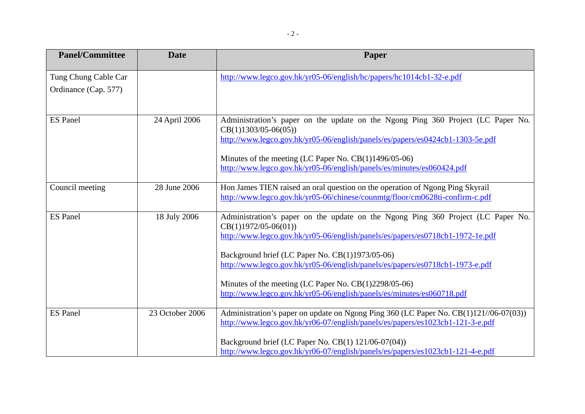| <b>Panel/Committee</b>                       | <b>Date</b>     | Paper                                                                                                                                                                                                                                                                                                                                                                                                                                                               |
|----------------------------------------------|-----------------|---------------------------------------------------------------------------------------------------------------------------------------------------------------------------------------------------------------------------------------------------------------------------------------------------------------------------------------------------------------------------------------------------------------------------------------------------------------------|
| Tung Chung Cable Car<br>Ordinance (Cap. 577) |                 | http://www.legco.gov.hk/yr05-06/english/hc/papers/hc1014cb1-32-e.pdf                                                                                                                                                                                                                                                                                                                                                                                                |
| <b>ES</b> Panel                              | 24 April 2006   | Administration's paper on the update on the Ngong Ping 360 Project (LC Paper No.<br>$CB(1)1303/05-06(05))$<br>http://www.legco.gov.hk/yr05-06/english/panels/es/papers/es0424cb1-1303-5e.pdf<br>Minutes of the meeting (LC Paper No. $CB(1)1496/05-06$ )<br>http://www.legco.gov.hk/yr05-06/english/panels/es/minutes/es060424.pdf                                                                                                                                  |
| Council meeting                              | 28 June 2006    | Hon James TIEN raised an oral question on the operation of Ngong Ping Skyrail<br>http://www.legco.gov.hk/yr05-06/chinese/counmtg/floor/cm0628ti-confirm-c.pdf                                                                                                                                                                                                                                                                                                       |
| <b>ES</b> Panel                              | 18 July 2006    | Administration's paper on the update on the Ngong Ping 360 Project (LC Paper No.<br>$CB(1)1972/05-06(01))$<br>http://www.legco.gov.hk/yr05-06/english/panels/es/papers/es0718cb1-1972-1e.pdf<br>Background brief (LC Paper No. CB(1)1973/05-06)<br>http://www.legco.gov.hk/yr05-06/english/panels/es/papers/es0718cb1-1973-e.pdf<br>Minutes of the meeting (LC Paper No. CB(1)2298/05-06)<br>http://www.legco.gov.hk/yr05-06/english/panels/es/minutes/es060718.pdf |
| <b>ES</b> Panel                              | 23 October 2006 | Administration's paper on update on Ngong Ping 360 (LC Paper No. CB(1)121//06-07(03))<br>http://www.legco.gov.hk/yr06-07/english/panels/es/papers/es1023cb1-121-3-e.pdf<br>Background brief (LC Paper No. CB(1) 121/06-07(04))<br>http://www.legco.gov.hk/yr06-07/english/panels/es/papers/es1023cb1-121-4-e.pdf                                                                                                                                                    |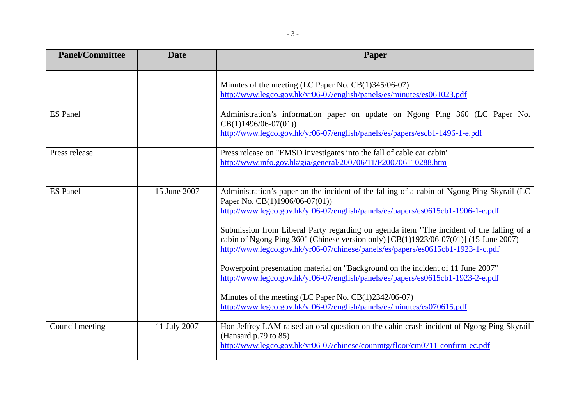| <b>Panel/Committee</b> | <b>Date</b>  | Paper                                                                                                                                                                                                                                                                                                                                                                                                                                                                                                                                                                                                                                                                                                                                                                                                  |
|------------------------|--------------|--------------------------------------------------------------------------------------------------------------------------------------------------------------------------------------------------------------------------------------------------------------------------------------------------------------------------------------------------------------------------------------------------------------------------------------------------------------------------------------------------------------------------------------------------------------------------------------------------------------------------------------------------------------------------------------------------------------------------------------------------------------------------------------------------------|
|                        |              | Minutes of the meeting (LC Paper No. CB(1)345/06-07)<br>http://www.legco.gov.hk/yr06-07/english/panels/es/minutes/es061023.pdf                                                                                                                                                                                                                                                                                                                                                                                                                                                                                                                                                                                                                                                                         |
| <b>ES</b> Panel        |              | Administration's information paper on update on Ngong Ping 360 (LC Paper No.<br>$CB(1)1496/06-07(01))$<br>http://www.legco.gov.hk/yr06-07/english/panels/es/papers/escb1-1496-1-e.pdf                                                                                                                                                                                                                                                                                                                                                                                                                                                                                                                                                                                                                  |
| Press release          |              | Press release on "EMSD investigates into the fall of cable car cabin"<br>http://www.info.gov.hk/gia/general/200706/11/P200706110288.htm                                                                                                                                                                                                                                                                                                                                                                                                                                                                                                                                                                                                                                                                |
| <b>ES</b> Panel        | 15 June 2007 | Administration's paper on the incident of the falling of a cabin of Ngong Ping Skyrail (LC<br>Paper No. CB(1)1906/06-07(01))<br>http://www.legco.gov.hk/yr06-07/english/panels/es/papers/es0615cb1-1906-1-e.pdf<br>Submission from Liberal Party regarding on agenda item "The incident of the falling of a<br>cabin of Ngong Ping $360$ " (Chinese version only) [CB(1)1923/06-07(01)] (15 June 2007)<br>http://www.legco.gov.hk/yr06-07/chinese/panels/es/papers/es0615cb1-1923-1-c.pdf<br>Powerpoint presentation material on "Background on the incident of 11 June 2007"<br>http://www.legco.gov.hk/yr06-07/english/panels/es/papers/es0615cb1-1923-2-e.pdf<br>Minutes of the meeting (LC Paper No. $CB(1)2342/06-07$ )<br>http://www.legco.gov.hk/yr06-07/english/panels/es/minutes/es070615.pdf |
| Council meeting        | 11 July 2007 | Hon Jeffrey LAM raised an oral question on the cabin crash incident of Ngong Ping Skyrail<br>(Hansard $p.79$ to 85)<br>http://www.legco.gov.hk/yr06-07/chinese/counmtg/floor/cm0711-confirm-ec.pdf                                                                                                                                                                                                                                                                                                                                                                                                                                                                                                                                                                                                     |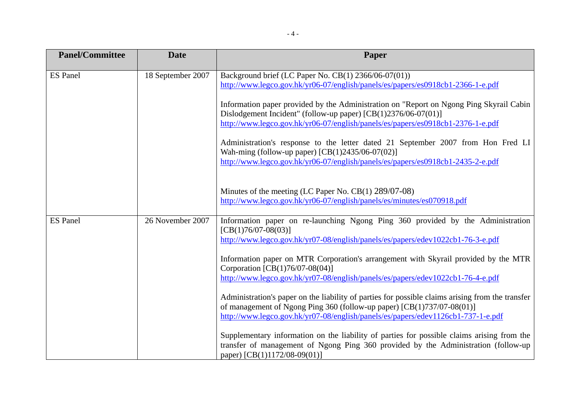| <b>Panel/Committee</b> | <b>Date</b>       | Paper                                                                                                                                                                            |
|------------------------|-------------------|----------------------------------------------------------------------------------------------------------------------------------------------------------------------------------|
| <b>ES</b> Panel        | 18 September 2007 | Background brief (LC Paper No. CB(1) 2366/06-07(01))                                                                                                                             |
|                        |                   | http://www.legco.gov.hk/yr06-07/english/panels/es/papers/es0918cb1-2366-1-e.pdf                                                                                                  |
|                        |                   | Information paper provided by the Administration on "Report on Ngong Ping Skyrail Cabin<br>Dislodgement Incident" (follow-up paper) [CB(1)2376/06-07(01)]                        |
|                        |                   | http://www.legco.gov.hk/yr06-07/english/panels/es/papers/es0918cb1-2376-1-e.pdf                                                                                                  |
|                        |                   | Administration's response to the letter dated 21 September 2007 from Hon Fred LI<br>Wah-ming (follow-up paper) [CB(1)2435/06-07(02)]                                             |
|                        |                   | http://www.legco.gov.hk/yr06-07/english/panels/es/papers/es0918cb1-2435-2-e.pdf                                                                                                  |
|                        |                   | Minutes of the meeting (LC Paper No. CB(1) 289/07-08)                                                                                                                            |
|                        |                   | http://www.legco.gov.hk/yr06-07/english/panels/es/minutes/es070918.pdf                                                                                                           |
| <b>ES</b> Panel        | 26 November 2007  | Information paper on re-launching Ngong Ping 360 provided by the Administration<br>$[CB(1)76/07-08(03)]$                                                                         |
|                        |                   | http://www.legco.gov.hk/yr07-08/english/panels/es/papers/edev1022cb1-76-3-e.pdf                                                                                                  |
|                        |                   | Information paper on MTR Corporation's arrangement with Skyrail provided by the MTR<br>Corporation $[CB(1)76/07-08(04)]$                                                         |
|                        |                   | http://www.legco.gov.hk/yr07-08/english/panels/es/papers/edev1022cb1-76-4-e.pdf                                                                                                  |
|                        |                   | Administration's paper on the liability of parties for possible claims arising from the transfer                                                                                 |
|                        |                   | of management of Ngong Ping 360 (follow-up paper) $[CB(1)737/07-08(01)]$<br>http://www.legco.gov.hk/yr07-08/english/panels/es/papers/edev1126cb1-737-1-e.pdf                     |
|                        |                   |                                                                                                                                                                                  |
|                        |                   | Supplementary information on the liability of parties for possible claims arising from the<br>transfer of management of Ngong Ping 360 provided by the Administration (follow-up |
|                        |                   | paper) [CB(1)1172/08-09(01)]                                                                                                                                                     |